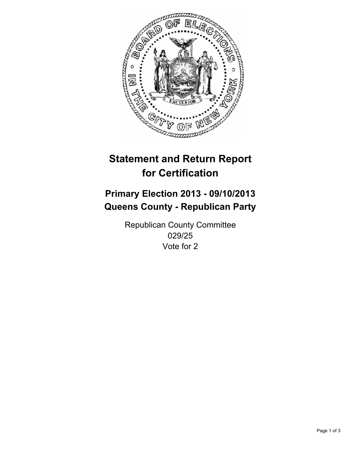

# **Statement and Return Report for Certification**

## **Primary Election 2013 - 09/10/2013 Queens County - Republican Party**

Republican County Committee 029/25 Vote for 2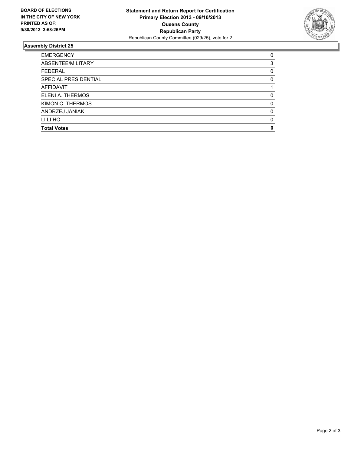

### **Assembly District 25**

| <b>Total Votes</b>   | 0            |
|----------------------|--------------|
| LI LI HO             | O            |
| ANDRZEJ JANIAK       | O            |
| KIMON C. THERMOS     | 0            |
| ELENI A. THERMOS     | <sup>0</sup> |
| <b>AFFIDAVIT</b>     |              |
| SPECIAL PRESIDENTIAL | 0            |
| <b>FEDERAL</b>       | 0            |
| ABSENTEE/MILITARY    | 3            |
| <b>EMERGENCY</b>     | 0            |